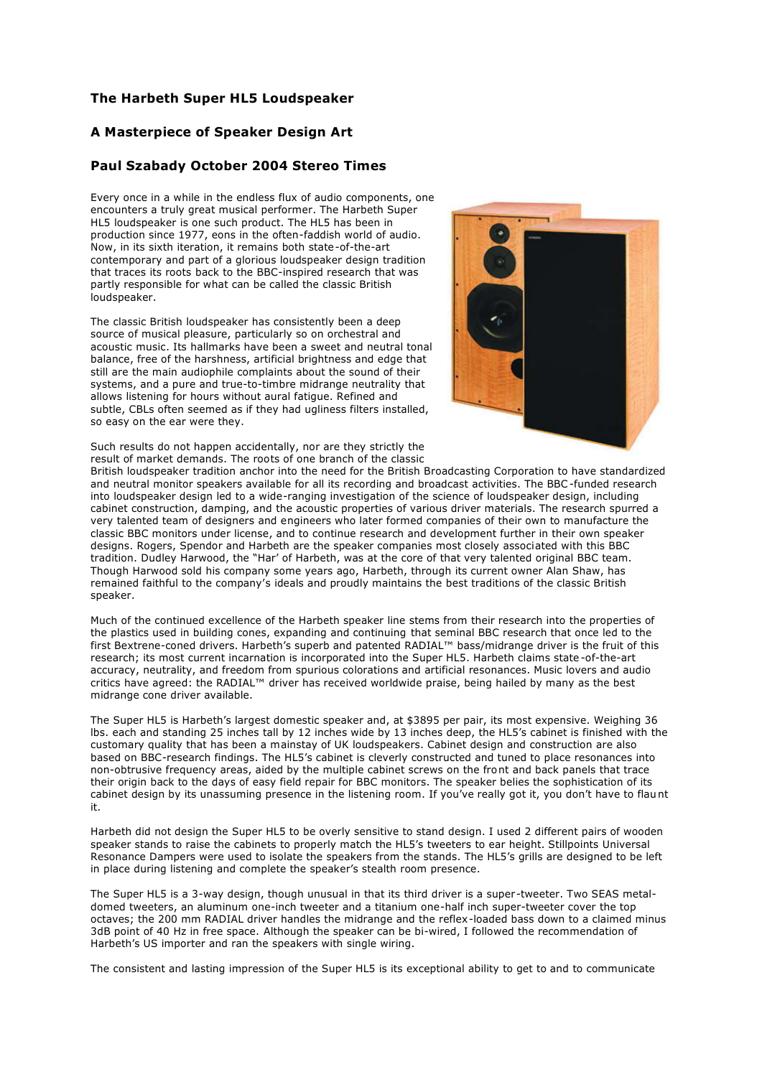## **The Harbeth Super HL5 Loudspeaker**

## **A Masterpiece of Speaker Design Art**

## **Paul Szabady October 2004 Stereo Times**

Every once in a while in the endless flux of audio components, one encounters a truly great musical performer. The Harbeth Super HL5 loudspeaker is one such product. The HL5 has been in production since 1977, eons in the often-faddish world of audio. Now, in its sixth iteration, it remains both state-of-the-art contemporary and part of a glorious loudspeaker design tradition that traces its roots back to the BBC-inspired research that was partly responsible for what can be called the classic British loudspeaker.

The classic British loudspeaker has consistently been a deep source of musical pleasure, particularly so on orchestral and acoustic music. Its hallmarks have been a sweet and neutral tonal balance, free of the harshness, artificial brightness and edge that still are the main audiophile complaints about the sound of their systems, and a pure and true-to-timbre midrange neutrality that allows listening for hours without aural fatigue. Refined and subtle, CBLs often seemed as if they had ugliness filters installed, so easy on the ear were they.



Such results do not happen accidentally, nor are they strictly the result of market demands. The roots of one branch of the classic

British loudspeaker tradition anchor into the need for the British Broadcasting Corporation to have standardized and neutral monitor speakers available for all its recording and broadcast activities. The BBC-funded research into loudspeaker design led to a wide-ranging investigation of the science of loudspeaker design, including cabinet construction, damping, and the acoustic properties of various driver materials. The research spurred a very talented team of designers and engineers who later formed companies of their own to manufacture the classic BBC monitors under license, and to continue research and development further in their own speaker designs. Rogers, Spendor and Harbeth are the speaker companies most closely associated with this BBC tradition. Dudley Harwood, the "Har' of Harbeth, was at the core of that very talented original BBC team. Though Harwood sold his company some years ago, Harbeth, through its current owner Alan Shaw, has remained faithful to the company's ideals and proudly maintains the best traditions of the classic British speaker.

Much of the continued excellence of the Harbeth speaker line stems from their research into the properties of the plastics used in building cones, expanding and continuing that seminal BBC research that once led to the first Bextrene-coned drivers. Harbeth's superb and patented RADIAL™ bass/midrange driver is the fruit of this research; its most current incarnation is incorporated into the Super HL5. Harbeth claims state -of-the-art accuracy, neutrality, and freedom from spurious colorations and artificial resonances. Music lovers and audio critics have agreed: the RADIAL™ driver has received worldwide praise, being hailed by many as the best midrange cone driver available.

The Super HL5 is Harbeth's largest domestic speaker and, at \$3895 per pair, its most expensive. Weighing 36 lbs. each and standing 25 inches tall by 12 inches wide by 13 inches deep, the HL5's cabinet is finished with the customary quality that has been a mainstay of UK loudspeakers. Cabinet design and construction are also based on BBC-research findings. The HL5's cabinet is cleverly constructed and tuned to place resonances into non-obtrusive frequency areas, aided by the multiple cabinet screws on the front and back panels that trace their origin back to the days of easy field repair for BBC monitors. The speaker belies the sophistication of its cabinet design by its unassuming presence in the listening room. If you've really got it, you don't have to flaunt it.

Harbeth did not design the Super HL5 to be overly sensitive to stand design. I used 2 different pairs of wooden speaker stands to raise the cabinets to properly match the HL5's tweeters to ear height. Stillpoints Universal Resonance Dampers were used to isolate the speakers from the stands. The HL5's grills are designed to be left in place during listening and complete the speaker's stealth room presence.

The Super HL5 is a 3-way design, though unusual in that its third driver is a super-tweeter. Two SEAS metal domed tweeters, an aluminum one-inch tweeter and a titanium one-half inch super-tweeter cover the top octaves; the 200 mm RADIAL driver handles the midrange and the reflex-loaded bass down to a claimed minus 3dB point of 40 Hz in free space. Although the speaker can be bi-wired, I followed the recommendation of Harbeth's US importer and ran the speakers with single wiring.

The consistent and lasting impression of the Super HL5 is its exceptional ability to get to and to communicate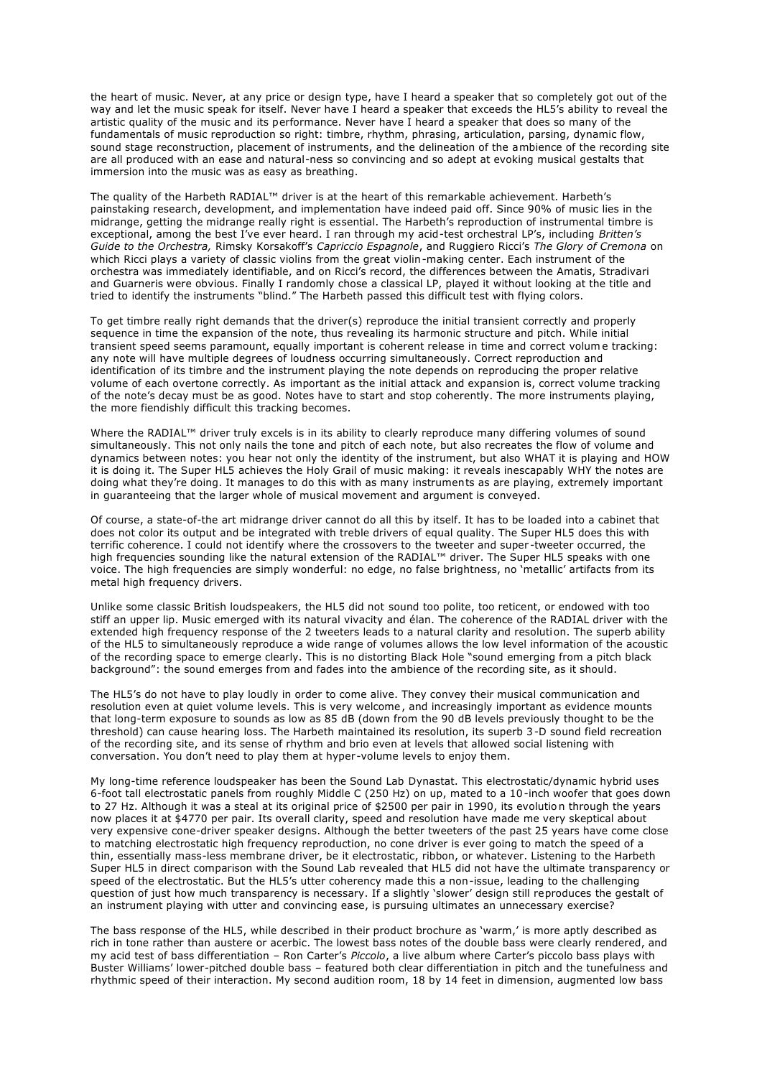the heart of music. Never, at any price or design type, have I heard a speaker that so completely got out of the way and let the music speak for itself. Never have I heard a speaker that exceeds the HL5's ability to reveal the artistic quality of the music and its performance. Never have I heard a speaker that does so many of the fundamentals of music reproduction so right: timbre, rhythm, phrasing, articulation, parsing, dynamic flow, sound stage reconstruction, placement of instruments, and the delineation of the ambience of the recording site are all produced with an ease and natural-ness so convincing and so adept at evoking musical gestalts that immersion into the music was as easy as breathing.

The quality of the Harbeth RADIAL™ driver is at the heart of this remarkable achievement. Harbeth's painstaking research, development, and implementation have indeed paid off. Since 90% of music lies in the midrange, getting the midrange really right is essential. The Harbeth's reproduction of instrumental timbre is exceptional, among the best I've ever heard. I ran through my acid-test orchestral LP's, including *Britten's Guide to the Orchestra,* Rimsky Korsakoff's *Capriccio Espagnole*, and Ruggiero Ricci's *The Glory of Cremona* on which Ricci plays a variety of classic violins from the great violin-making center. Each instrument of the orchestra was immediately identifiable, and on Ricci's record, the differences between the Amatis, Stradivari and Guarneris were obvious. Finally I randomly chose a classical LP, played it without looking at the title and tried to identify the instruments "blind." The Harbeth passed this difficult test with flying colors.

To get timbre really right demands that the driver(s) reproduce the initial transient correctly and properly sequence in time the expansion of the note, thus revealing its harmonic structure and pitch. While initial transient speed seems paramount, equally important is coherent release in time and correct volum e tracking: any note will have multiple degrees of loudness occurring simultaneously. Correct reproduction and identification of its timbre and the instrument playing the note depends on reproducing the proper relative volume of each overtone correctly. As important as the initial attack and expansion is, correct volume tracking of the note's decay must be as good. Notes have to start and stop coherently. The more instruments playing, the more fiendishly difficult this tracking becomes.

Where the RADIAL™ driver truly excels is in its ability to clearly reproduce many differing volumes of sound simultaneously. This not only nails the tone and pitch of each note, but also recreates the flow of volume and dynamics between notes: you hear not only the identity of the instrument, but also WHAT it is playing and HOW it is doing it. The Super HL5 achieves the Holy Grail of music making: it reveals inescapably WHY the notes are doing what they're doing. It manages to do this with as many instruments as are playing, extremely important in guaranteeing that the larger whole of musical movement and argument is conveyed.

Of course, a state-of-the art midrange driver cannot do all this by itself. It has to be loaded into a cabinet that does not color its output and be integrated with treble drivers of equal quality. The Super HL5 does this with terrific coherence. I could not identify where the crossovers to the tweeter and super -tweeter occurred, the high frequencies sounding like the natural extension of the RADIAL™ driver. The Super HL5 speaks with one voice. The high frequencies are simply wonderful: no edge, no false brightness, no 'metallic' artifacts from its metal high frequency drivers.

Unlike some classic British loudspeakers, the HL5 did not sound too polite, too reticent, or endowed with too stiff an upper lip. Music emerged with its natural vivacity and élan. The coherence of the RADIAL driver with the extended high frequency response of the 2 tweeters leads to a natural clarity and resolution. The superb ability of the HL5 to simultaneously reproduce a wide range of volumes allows the low level information of the acoustic of the recording space to emerge clearly. This is no distorting Black Hole "sound emerging from a pitch black background": the sound emerges from and fades into the ambience of the recording site, as it should.

The HL5's do not have to play loudly in order to come alive. They convey their musical communication and resolution even at quiet volume levels. This is very welcome, and increasingly important as evidence mounts that long-term exposure to sounds as low as 85 dB (down from the 90 dB levels previously thought to be the threshold) can cause hearing loss. The Harbeth maintained its resolution, its superb 3-D sound field recreation of the recording site, and its sense of rhythm and brio even at levels that allowed social listening with conversation. You don't need to play them at hyper-volume levels to enjoy them.

My long-time reference loudspeaker has been the Sound Lab Dynastat. This electrostatic/dynamic hybrid uses 6-foot tall electrostatic panels from roughly Middle C (250 Hz) on up, mated to a 10-inch woofer that goes down to 27 Hz. Although it was a steal at its original price of \$2500 per pair in 1990, its evolution through the years now places it at \$4770 per pair. Its overall clarity, speed and resolution have made me very skeptical about very expensive cone-driver speaker designs. Although the better tweeters of the past 25 years have come close to matching electrostatic high frequency reproduction, no cone driver is ever going to match the speed of a thin, essentially mass-less membrane driver, be it electrostatic, ribbon, or whatever. Listening to the Harbeth Super HL5 in direct comparison with the Sound Lab revealed that HL5 did not have the ultimate transparency or speed of the electrostatic. But the HL5's utter coherency made this a non-issue, leading to the challenging question of just how much transparency is necessary. If a slightly 'slower' design still reproduces the gestalt of an instrument playing with utter and convincing ease, is pursuing ultimates an unnecessary exercise?

The bass response of the HL5, while described in their product brochure as 'warm,' is more aptly described as rich in tone rather than austere or acerbic. The lowest bass notes of the double bass were clearly rendered, and my acid test of bass differentiation – Ron Carter's *Piccolo*, a live album where Carter's piccolo bass plays with Buster Williams' lower-pitched double bass – featured both clear differentiation in pitch and the tunefulness and rhythmic speed of their interaction. My second audition room, 18 by 14 feet in dimension, augmented low bass